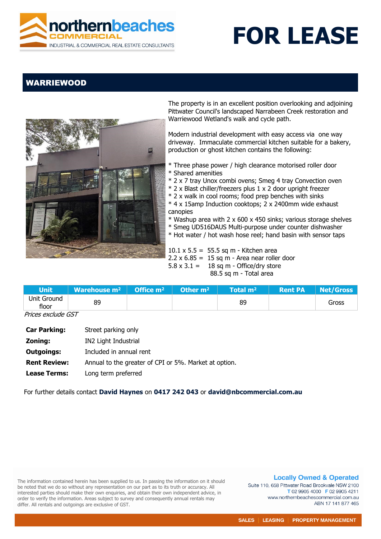

## **FOR LEASE**

## WARRIEWOOD



The property is in an excellent position overlooking and adjoining Pittwater Council's landscaped Narrabeen Creek restoration and Warriewood Wetland's walk and cycle path.

Modern industrial development with easy access via one way driveway. Immaculate commercial kitchen suitable for a bakery, production or ghost kitchen contains the following:

- \* Three phase power / high clearance motorised roller door
- \* Shared amenities
- \* 2 x 7 tray Unox combi ovens; Smeg 4 tray Convection oven
- \* 2 x Blast chiller/freezers plus 1 x 2 door upright freezer
- \* 2 x walk in cool rooms; food prep benches with sinks
- \* 4 x 15amp Induction cooktops; 2 x 2400mm wide exhaust canopies
- \* Washup area with 2 x 600 x 450 sinks; various storage shelves
- \* Smeg UD516DAUS Multi-purpose under counter dishwasher
- \* Hot water / hot wash hose reel; hand basin with sensor taps

 $10.1 \times 5.5 = 55.5$  sq m - Kitchen area  $2.2 \times 6.85 = 15$  sq m - Area near roller door  $5.8 \times 3.1 = 18$  sq m - Office/dry store 88.5 sq m - Total area

| Unit \               | <b>Warehouse m<sup>2</sup></b>   Office m <sup>2</sup>   Other m <sup>2</sup> |  |  | $\blacksquare$ Total m $^{2+}$ | <b>Rent PA</b> | Net/Gross |
|----------------------|-------------------------------------------------------------------------------|--|--|--------------------------------|----------------|-----------|
| Unit Ground<br>floor | 89                                                                            |  |  | 89                             |                | Gross     |
| ---<br>$ -$          |                                                                               |  |  |                                |                |           |

 *Prices exclude GST* 

| <b>Car Parking:</b> | Street parking only                                   |
|---------------------|-------------------------------------------------------|
| Zoning:             | IN2 Light Industrial                                  |
| <b>Outgoings:</b>   | Included in annual rent                               |
| <b>Rent Review:</b> | Annual to the greater of CPI or 5%. Market at option. |
| <b>Lease Terms:</b> | Long term preferred                                   |

For further details contact **David Haynes** on **0417 242 043** or **david@nbcommercial.com.au**

The information contained herein has been supplied to us. In passing the information on it should be noted that we do so without any representation on our part as to its truth or accuracy. All interested parties should make their own enquiries, and obtain their own independent advice, in order to verify the information. Areas subject to survey and consequently annual rentals may differ. All rentals and outgoings are exclusive of GST.

**Locally Owned & Operated** 

Suite 110, 658 Pittwater Road Brookvale NSW 2100 T 02 9905 4000 F 02 9905 4211 www.northernbeachescommercial.com.au ABN 17 141 877 465